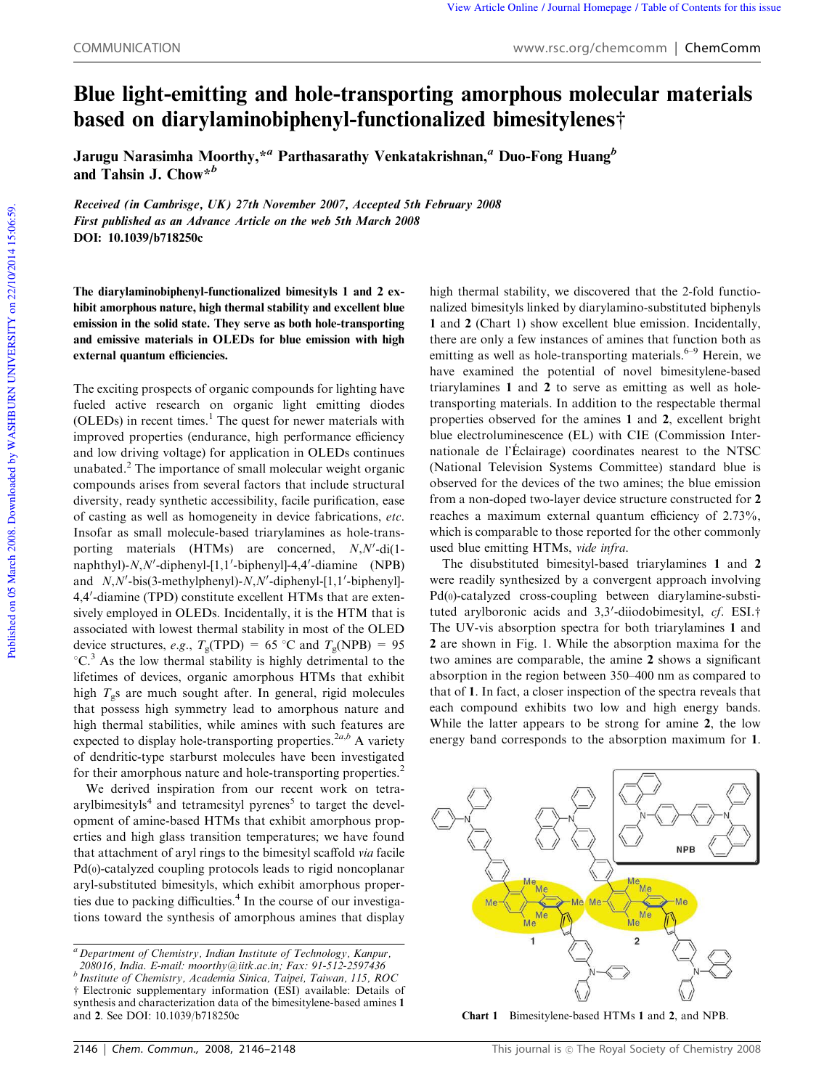## Blue light-emitting and hole-transporting amorphous molecular materials based on diarylaminobiphenyl-functionalized bimesitylenes<sup>†</sup>

Jarugu Narasimha Moorthy,  $*^a$  Parthasarathy Venkatakrishnan, $a$  Duo-Fong Huang $b$ and Tahsin J. Chow $*^{b}$ 

Received (in Cambrisge, UK) 27th November 2007, Accepted 5th February 2008 First published as an Advance Article on the web 5th March 2008 DOI: 10.1039/b718250c

The diarylaminobiphenyl-functionalized bimesityls 1 and 2 exhibit amorphous nature, high thermal stability and excellent blue emission in the solid state. They serve as both hole-transporting and emissive materials in OLEDs for blue emission with high external quantum efficiencies.

The exciting prospects of organic compounds for lighting have fueled active research on organic light emitting diodes  $(OLEDs)$  in recent times.<sup>1</sup> The quest for newer materials with improved properties (endurance, high performance efficiency and low driving voltage) for application in OLEDs continues unabated.<sup>2</sup> The importance of small molecular weight organic compounds arises from several factors that include structural diversity, ready synthetic accessibility, facile purification, ease of casting as well as homogeneity in device fabrications, *etc*. Insofar as small molecule-based triarylamines as hole-transporting materials (HTMs) are concerned, *N*,*N'*-di(1naphthyl)-*N*,*N'*-diphenyl-[1,1'-biphenyl]-4,4'-diamine (NPB) and *N*,*N'*-bis(3-methylphenyl)-*N*,*N'*-diphenyl-[1,1'-biphenyl]-4,4'-diamine (TPD) constitute excellent HTMs that are extensively employed in OLEDs. Incidentally, it is the HTM that is associated with lowest thermal stability in most of the OLED device structures, *e.g.*,  $T_g(TPD) = 65 °C$  and  $T_g(NPB) = 95$  $^{\circ}$ C.<sup>3</sup> As the low thermal stability is highly detrimental to the lifetimes of devices, organic amorphous HTMs that exhibit high  $T_{\rm g}$ s are much sought after. In general, rigid molecules that possess high symmetry lead to amorphous nature and high thermal stabilities, while amines with such features are expected to display hole-transporting properties.<sup>2a,*b*</sup> A variety of dendritic-type starburst molecules have been investigated for their amorphous nature and hole-transporting properties.<sup>2</sup>

We derived inspiration from our recent work on tetraarylbimesityls<sup>4</sup> and tetramesityl pyrenes<sup>5</sup> to target the development of amine-based HTMs that exhibit amorphous properties and high glass transition temperatures; we have found that attachment of aryl rings to the bimesityl scaffold *via* facile Pd(0)-catalyzed coupling protocols leads to rigid noncoplanar aryl-substituted bimesityls, which exhibit amorphous properties due to packing difficulties.<sup>4</sup> In the course of our investigations toward the synthesis of amorphous amines that display high thermal stability, we discovered that the 2-fold functionalized bimesityls linked by diarylamino-substituted biphenyls 1 and 2 (Chart 1) show excellent blue emission. Incidentally, there are only a few instances of amines that function both as emitting as well as hole-transporting materials.<sup>6–9</sup> Herein, we have examined the potential of novel bimesitylene-based triarylamines 1 and 2 to serve as emitting as well as holetransporting materials. In addition to the respectable thermal properties observed for the amines 1 and 2, excellent bright blue electroluminescence (EL) with CIE (Commission Internationale de l'Éclairage) coordinates nearest to the NTSC (National Television Systems Committee) standard blue is observed for the devices of the two amines; the blue emission from a non-doped two-layer device structure constructed for 2 reaches a maximum external quantum efficiency of 2.73%, which is comparable to those reported for the other commonly used blue emitting HTMs, *vide infra*.

The disubstituted bimesityl-based triarylamines 1 and 2 were readily synthesized by a convergent approach involving Pd(0)-catalyzed cross-coupling between diarylamine-substituted arylboronic acids and 3,3'-diiodobimesityl, cf. ESI.<sup>†</sup> The UV-vis absorption spectra for both triarylamines 1 and 2 are shown in Fig. 1. While the absorption maxima for the two amines are comparable, the amine 2 shows a significant absorption in the region between 350–400 nm as compared to that of 1. In fact, a closer inspection of the spectra reveals that each compound exhibits two low and high energy bands. While the latter appears to be strong for amine 2, the low energy band corresponds to the absorption maximum for 1.



Chart 1 Bimesitylene-based HTMs 1 and 2, and NPB.

*<sup>a</sup> Department of Chemistry, Indian Institute of Technology, Kanpur, 208016, India. E-mail: moorthy@iitk.ac.in; Fax: 91-512-2597436*

*b Institute of Chemistry, Academia Sinica, Taipei, Taiwan, 115, ROC* † Electronic supplementary information (ESI) available: Details of synthesis and characterization data of the bimesitylene-based amines 1 and 2. See DOI: 10.1039/b718250c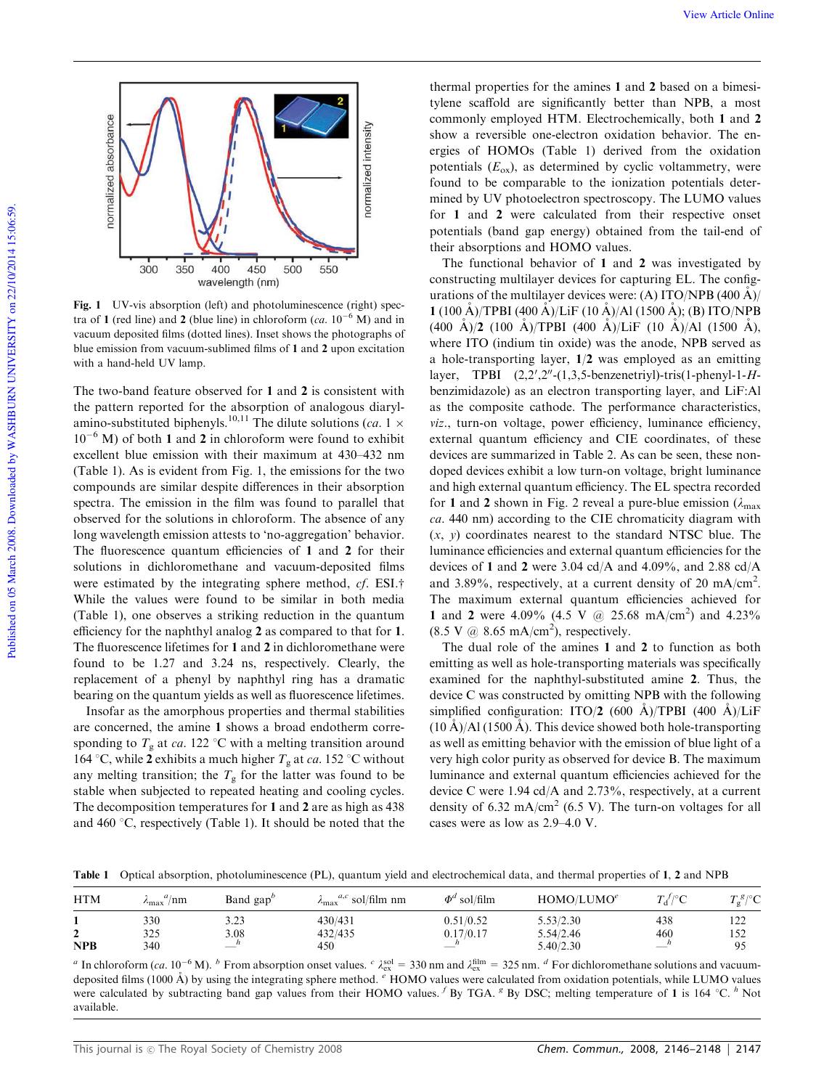

Fig. 1 UV-vis absorption (left) and photoluminescence (right) spectra of 1 (red line) and 2 (blue line) in chloroform  $(ca. 10^{-6}$  M) and in vacuum deposited films (dotted lines). Inset shows the photographs of blue emission from vacuum-sublimed films of 1 and 2 upon excitation with a hand-held UV lamp.

The two-band feature observed for 1 and 2 is consistent with the pattern reported for the absorption of analogous diarylamino-substituted biphenyls.<sup>10,11</sup> The dilute solutions (*ca.* 1  $\times$  $10^{-6}$  M) of both 1 and 2 in chloroform were found to exhibit excellent blue emission with their maximum at 430–432 nm (Table 1). As is evident from Fig. 1, the emissions for the two compounds are similar despite differences in their absorption spectra. The emission in the film was found to parallel that observed for the solutions in chloroform. The absence of any long wavelength emission attests to 'no-aggregation' behavior. The fluorescence quantum efficiencies of 1 and 2 for their solutions in dichloromethane and vacuum-deposited films were estimated by the integrating sphere method, *cf.* ESI.<sup>†</sup> While the values were found to be similar in both media (Table 1), one observes a striking reduction in the quantum efficiency for the naphthyl analog 2 as compared to that for 1. The fluorescence lifetimes for 1 and 2 in dichloromethane were found to be 1.27 and 3.24 ns, respectively. Clearly, the replacement of a phenyl by naphthyl ring has a dramatic bearing on the quantum yields as well as fluorescence lifetimes.

Insofar as the amorphous properties and thermal stabilities are concerned, the amine 1 shows a broad endotherm corresponding to  $T_g$  at *ca*. 122 °C with a melting transition around 164 °C, while 2 exhibits a much higher  $T_g$  at *ca*. 152 °C without any melting transition; the  $T_g$  for the latter was found to be stable when subjected to repeated heating and cooling cycles. The decomposition temperatures for 1 and 2 are as high as 438 and 460  $\degree$ C, respectively (Table 1). It should be noted that the

thermal properties for the amines 1 and 2 based on a bimesitylene scaffold are significantly better than NPB, a most commonly employed HTM. Electrochemically, both 1 and 2 show a reversible one-electron oxidation behavior. The energies of HOMOs (Table 1) derived from the oxidation potentials  $(E_{ox})$ , as determined by cyclic voltammetry, were found to be comparable to the ionization potentials determined by UV photoelectron spectroscopy. The LUMO values for 1 and 2 were calculated from their respective onset potentials (band gap energy) obtained from the tail-end of their absorptions and HOMO values.

The functional behavior of 1 and 2 was investigated by constructing multilayer devices for capturing EL. The configurations of the multilayer devices were: (A) ITO/NPB (400  $\rm \AA$ )/ 1 (100 Å)/TPBI (400 Å)/LiF (10 Å)/Al (1500 Å); (B) ITO/NPB  $(400 \text{ Å})/2$   $(100 \text{ Å})/\text{TPBI}$   $(400 \text{ Å})/\text{LiF}$   $(10 \text{ Å})/\text{Al}$   $(1500 \text{ Å})$ , where ITO (indium tin oxide) was the anode, NPB served as a hole-transporting layer, 1/2 was employed as an emitting layer, TPBI (2,2',2"-(1,3,5-benzenetriyl)-tris(1-phenyl-1-Hbenzimidazole) as an electron transporting layer, and LiF:Al as the composite cathode. The performance characteristics, *viz.*, turn-on voltage, power efficiency, luminance efficiency, external quantum efficiency and CIE coordinates, of these devices are summarized in Table 2. As can be seen, these nondoped devices exhibit a low turn-on voltage, bright luminance and high external quantum efficiency. The EL spectra recorded for 1 and 2 shown in Fig. 2 reveal a pure-blue emission ( $\lambda_{\text{max}}$ ) *ca.* 440 nm) according to the CIE chromaticity diagram with (*x*, *y*) coordinates nearest to the standard NTSC blue. The luminance efficiencies and external quantum efficiencies for the devices of 1 and 2 were 3.04 cd/A and 4.09%, and 2.88 cd/A and 3.89%, respectively, at a current density of 20 mA/cm<sup>2</sup>. The maximum external quantum efficiencies achieved for 1 and 2 were 4.09% (4.5 V  $\omega$  25.68 mA/cm<sup>2</sup>) and 4.23%  $(8.5 \text{ V} \text{ @ } 8.65 \text{ mA/cm}^2)$ , respectively.

The dual role of the amines 1 and 2 to function as both emitting as well as hole-transporting materials was specifically examined for the naphthyl-substituted amine 2. Thus, the device C was constructed by omitting NPB with the following simplified configuration: ITO/2 (600 Å)/TPBI (400 Å)/LiF  $(10 \text{ Å})/$ Al  $(1500 \text{ Å})$ . This device showed both hole-transporting as well as emitting behavior with the emission of blue light of a very high color purity as observed for device B. The maximum luminance and external quantum efficiencies achieved for the device C were 1.94 cd/A and 2.73%, respectively, at a current density of 6.32 mA/cm<sup>2</sup> (6.5 V). The turn-on voltages for all cases were as low as 2.9–4.0 V.

Table 1 Optical absorption, photoluminescence (PL), quantum yield and electrochemical data, and thermal properties of 1, 2 and NPB

| <b>HTM</b> | $a/\text{nm}$<br>$\lambda$ <sub>max</sub> | Band $\text{gap}^b$ | $\epsilon$ sol/film nm<br>a,c<br>≁max | $\Phi^d$ sol/film | HOMO/LUMO <sup>e</sup> | $T_A^{f/\circ}C$<br>$\overline{A}$ | $T_{\alpha}{}^{g/\circ} \mathsf{C}$<br>$1 \sigma$ |
|------------|-------------------------------------------|---------------------|---------------------------------------|-------------------|------------------------|------------------------------------|---------------------------------------------------|
|            | 330                                       | 3.23                | 430/431                               | 0.51/0.52         | 5.53/2.30              | 438                                | 122                                               |
| ∸          | 325                                       | 3.08                | 432/435                               | 0.17/0.17         | 5.54/2.46              | 460                                | 152                                               |
| <b>NPB</b> | 340                                       |                     | 450                                   |                   | 5.40/2.30              | $-$                                | 05                                                |

<sup>*a*</sup> In chloroform (*ca.* 10<sup>-6</sup> M). <sup>*b*</sup> From absorption onset values. <sup>*c*</sup>  $\lambda_{ex}^{sol} = 330$  nm and  $\lambda_{ex}^{film} = 325$  nm. <sup>*d*</sup> For dichloromethane solutions and vacuumdeposited films (1000 A˚ ) by using the integrating sphere method. *<sup>e</sup>* HOMO values were calculated from oxidation potentials, while LUMO values were calculated by subtracting band gap values from their HOMO values. *f* By TGA. <sup>*g*</sup> By DSC; melting temperature of 1 is 164 °C. <sup>*h*</sup> Not available.